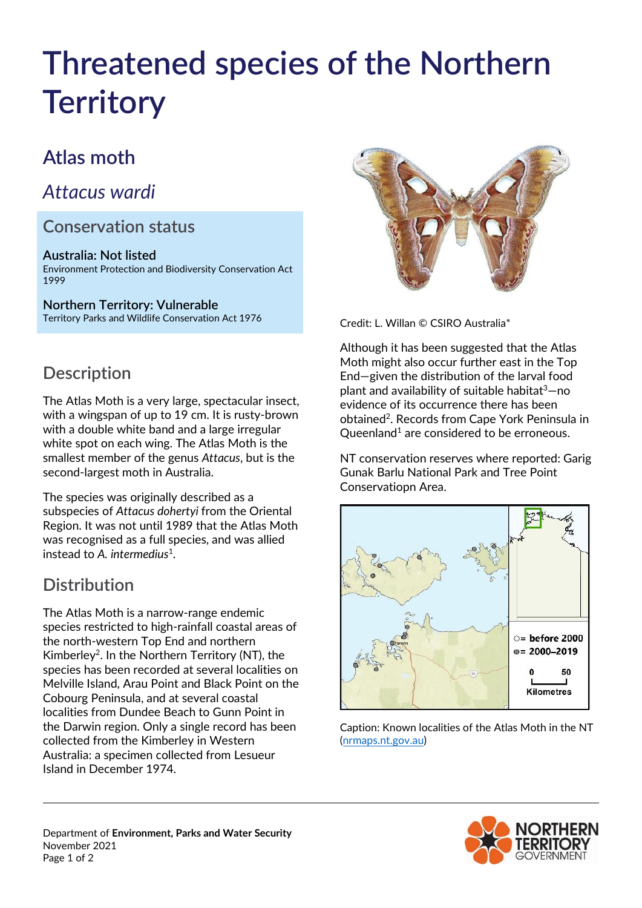# **Threatened species of the Northern Territory**

## **Atlas moth**

*Attacus wardi*

#### **Conservation status**

**Australia: Not listed** Environment Protection and Biodiversity Conservation Act 1999

**Northern Territory: Vulnerable** Territory Parks and Wildlife Conservation Act 1976

## **Description**

The Atlas Moth is a very large, spectacular insect, with a wingspan of up to 19 cm. It is rusty-brown with a double white band and a large irregular white spot on each wing. The Atlas Moth is the smallest member of the genus *Attacus*, but is the second-largest moth in Australia.

The species was originally described as a subspecies of *Attacus dohertyi* from the Oriental Region. It was not until 1989 that the Atlas Moth was recognised as a full species, and was allied instead to *A. intermedius*<sup>1</sup> .

## **Distribution**

The Atlas Moth is a narrow-range endemic species restricted to high-rainfall coastal areas of the north-western Top End and northern Kimberley<sup>2</sup>. In the Northern Territory (NT), the species has been recorded at several localities on Melville Island, Arau Point and Black Point on the Cobourg Peninsula, and at several coastal localities from Dundee Beach to Gunn Point in the Darwin region. Only a single record has been collected from the Kimberley in Western Australia: a specimen collected from Lesueur Island in December 1974.



Credit: L. Willan © CSIRO Australia\*

Although it has been suggested that the Atlas Moth might also occur further east in the Top End—given the distribution of the larval food plant and availability of suitable habitat<sup>3</sup>—no evidence of its occurrence there has been obtained<sup>2</sup>. Records from Cape York Peninsula in Queenland<sup>1</sup> are considered to be erroneous.

NT conservation reserves where reported: Garig Gunak Barlu National Park and Tree Point Conservatiopn Area.



Caption: Known localities of the Atlas Moth in the NT [\(nrmaps.nt.gov.au\)](https://nrmaps.nt.gov.au/nrmaps.html)